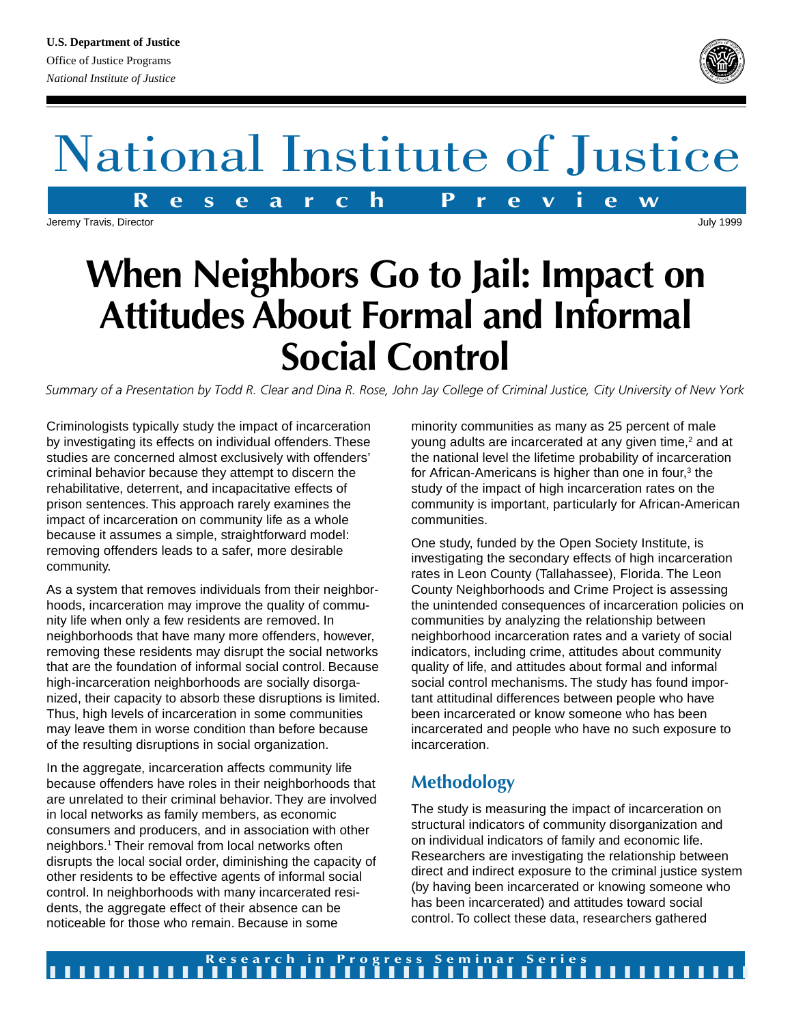

**R e s e a r c h P r e v i e w** National Institute of Justice

Jeremy Travis, Director

# **When Neighbors Go to Jail: Impact on Attitudes About Formal and Informal Social Control**

*Summary of a Presentation by Todd R. Clear and Dina R. Rose, John Jay College of Criminal Justice, City University of New York*

Criminologists typically study the impact of incarceration by investigating its effects on individual offenders. These studies are concerned almost exclusively with offenders' criminal behavior because they attempt to discern the rehabilitative, deterrent, and incapacitative effects of prison sentences. This approach rarely examines the impact of incarceration on community life as a whole because it assumes a simple, straightforward model: removing offenders leads to a safer, more desirable community.

As a system that removes individuals from their neighborhoods, incarceration may improve the quality of community life when only a few residents are removed. In neighborhoods that have many more offenders, however, removing these residents may disrupt the social networks that are the foundation of informal social control. Because high-incarceration neighborhoods are socially disorganized, their capacity to absorb these disruptions is limited. Thus, high levels of incarceration in some communities may leave them in worse condition than before because of the resulting disruptions in social organization.

In the aggregate, incarceration affects community life because offenders have roles in their neighborhoods that are unrelated to their criminal behavior. They are involved in local networks as family members, as economic consumers and producers, and in association with other neighbors.1 Their removal from local networks often disrupts the local social order, diminishing the capacity of other residents to be effective agents of informal social control. In neighborhoods with many incarcerated residents, the aggregate effect of their absence can be noticeable for those who remain. Because in some

minority communities as many as 25 percent of male young adults are incarcerated at any given time,<sup>2</sup> and at the national level the lifetime probability of incarceration for African-Americans is higher than one in four,<sup>3</sup> the study of the impact of high incarceration rates on the community is important, particularly for African-American communities.

One study, funded by the Open Society Institute, is investigating the secondary effects of high incarceration rates in Leon County (Tallahassee), Florida. The Leon County Neighborhoods and Crime Project is assessing the unintended consequences of incarceration policies on communities by analyzing the relationship between neighborhood incarceration rates and a variety of social indicators, including crime, attitudes about community quality of life, and attitudes about formal and informal social control mechanisms. The study has found important attitudinal differences between people who have been incarcerated or know someone who has been incarcerated and people who have no such exposure to incarceration.

## **Methodology**

The study is measuring the impact of incarceration on structural indicators of community disorganization and on individual indicators of family and economic life. Researchers are investigating the relationship between direct and indirect exposure to the criminal justice system (by having been incarcerated or knowing someone who has been incarcerated) and attitudes toward social control. To collect these data, researchers gathered

July 1999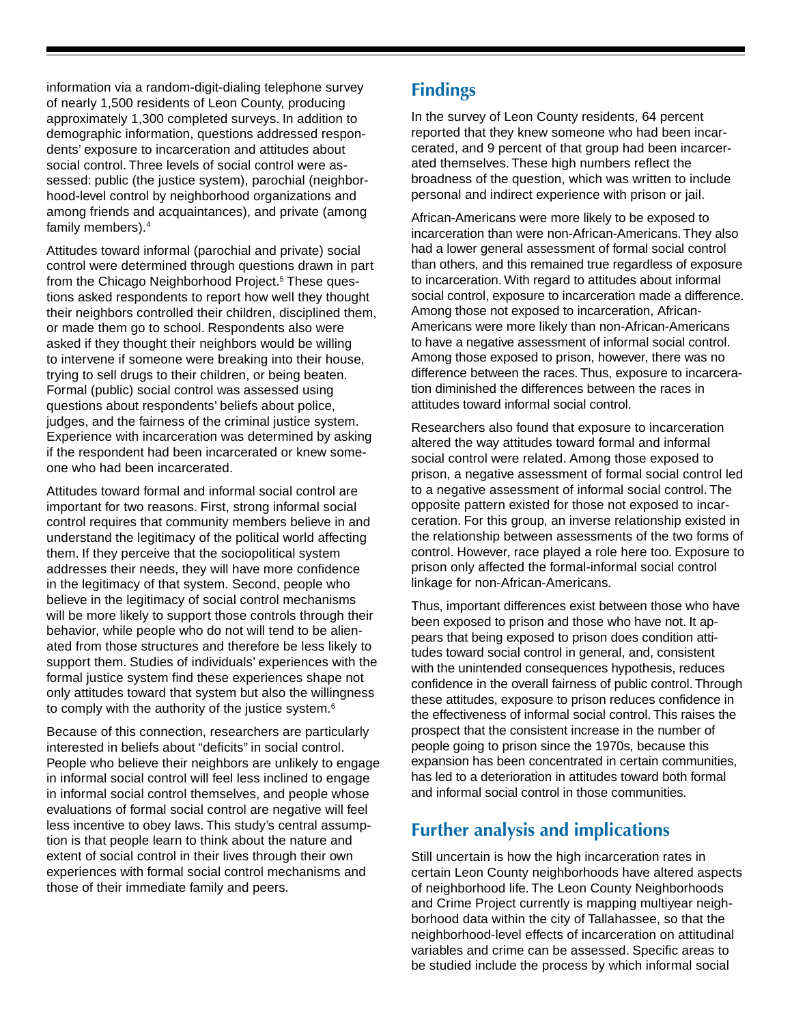information via a random-digit-dialing telephone survey of nearly 1,500 residents of Leon County, producing approximately 1,300 completed surveys. In addition to demographic information, questions addressed respondents' exposure to incarceration and attitudes about social control. Three levels of social control were assessed: public (the justice system), parochial (neighborhood-level control by neighborhood organizations and among friends and acquaintances), and private (among family members).4

Attitudes toward informal (parochial and private) social control were determined through questions drawn in part from the Chicago Neighborhood Project.<sup>5</sup> These questions asked respondents to report how well they thought their neighbors controlled their children, disciplined them, or made them go to school. Respondents also were asked if they thought their neighbors would be willing to intervene if someone were breaking into their house, trying to sell drugs to their children, or being beaten. Formal (public) social control was assessed using questions about respondents' beliefs about police, judges, and the fairness of the criminal justice system. Experience with incarceration was determined by asking if the respondent had been incarcerated or knew someone who had been incarcerated.

Attitudes toward formal and informal social control are important for two reasons. First, strong informal social control requires that community members believe in and understand the legitimacy of the political world affecting them. If they perceive that the sociopolitical system addresses their needs, they will have more confidence in the legitimacy of that system. Second, people who believe in the legitimacy of social control mechanisms will be more likely to support those controls through their behavior, while people who do not will tend to be alienated from those structures and therefore be less likely to support them. Studies of individuals' experiences with the formal justice system find these experiences shape not only attitudes toward that system but also the willingness to comply with the authority of the justice system.6

Because of this connection, researchers are particularly interested in beliefs about "deficits" in social control. People who believe their neighbors are unlikely to engage in informal social control will feel less inclined to engage in informal social control themselves, and people whose evaluations of formal social control are negative will feel less incentive to obey laws. This study's central assumption is that people learn to think about the nature and extent of social control in their lives through their own experiences with formal social control mechanisms and those of their immediate family and peers.

### **Findings**

In the survey of Leon County residents, 64 percent reported that they knew someone who had been incarcerated, and 9 percent of that group had been incarcerated themselves. These high numbers reflect the broadness of the question, which was written to include personal and indirect experience with prison or jail.

African-Americans were more likely to be exposed to incarceration than were non-African-Americans. They also had a lower general assessment of formal social control than others, and this remained true regardless of exposure to incarceration. With regard to attitudes about informal social control, exposure to incarceration made a difference. Among those not exposed to incarceration, African-Americans were more likely than non-African-Americans to have a negative assessment of informal social control. Among those exposed to prison, however, there was no difference between the races. Thus, exposure to incarceration diminished the differences between the races in attitudes toward informal social control.

Researchers also found that exposure to incarceration altered the way attitudes toward formal and informal social control were related. Among those exposed to prison, a negative assessment of formal social control led to a negative assessment of informal social control. The opposite pattern existed for those not exposed to incarceration. For this group, an inverse relationship existed in the relationship between assessments of the two forms of control. However, race played a role here too. Exposure to prison only affected the formal-informal social control linkage for non-African-Americans.

Thus, important differences exist between those who have been exposed to prison and those who have not. It appears that being exposed to prison does condition attitudes toward social control in general, and, consistent with the unintended consequences hypothesis, reduces confidence in the overall fairness of public control. Through these attitudes, exposure to prison reduces confidence in the effectiveness of informal social control. This raises the prospect that the consistent increase in the number of people going to prison since the 1970s, because this expansion has been concentrated in certain communities, has led to a deterioration in attitudes toward both formal and informal social control in those communities.

#### **Further analysis and implications**

Still uncertain is how the high incarceration rates in certain Leon County neighborhoods have altered aspects of neighborhood life. The Leon County Neighborhoods and Crime Project currently is mapping multiyear neighborhood data within the city of Tallahassee, so that the neighborhood-level effects of incarceration on attitudinal variables and crime can be assessed. Specific areas to be studied include the process by which informal social